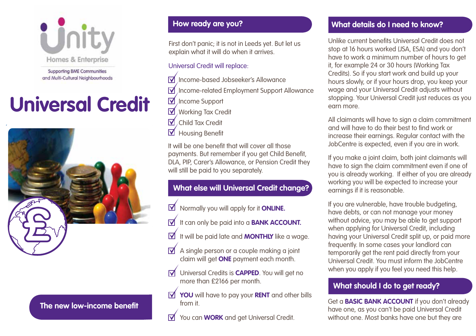

**Supporting BME Communities** and Multi-Cultural Neighbourhoods

# **Universal Credit**



**The new low-income benefit**

# **How ready are you?**

First don't panic; it is not in Leeds yet. But let us explain what it will do when it arrives.

## Universal Credit will replace:

- Income-based Jobseeker's Allowance
- $\overline{\mathsf{M}}$ Income-related Employment Support Allowance
- $\nabla$  Income Support
- **M** Working Tax Credit
- $\nabla$ Child Tax Credit
- $\overline{\mathbf{V}}$ Housing Benefit

It will be one benefit that will cover all those payments. But remember if you get Child Benefit, DLA, PIP, Carer's Allowance, or Pension Credit they will still be paid to you separately.

# **What else will Universal Credit change?**

- $\boldsymbol{\nabla}$ Normally you will apply for it **ONLINE.**
- It can only be paid into a **BANK ACCOUNT.**  $\overline{\mathsf{M}}$
- $\boxtimes$ It will be paid late and **MONTHLY** like a wage.
- $\overline{\mathsf{M}}$  A single person or a couple making a joint claim will get **ONE** payment each month.
- Universal Credits is **CAPPED**. You will get no  $\triangledown$ more than £2166 per month.
- **YOU** will have to pay your **RENT** and other bills from it.
- You can **WORK** and get Universal Credit.  $\triangledown$

# **What details do I need to know?**

Unlike current benefits Universal Credit does not stop at 16 hours worked (JSA, ESA) and you don't have to work a minimum number of hours to get it, for example 24 or 30 hours (Working Tax Credits). So if you start work and build up your hours slowly, or if your hours drop, you keep your wage and your Universal Credit adjusts without stopping. Your Universal Credit just reduces as you earn more.

All claimants will have to sign a claim commitment and will have to do their best to find work or increase their earnings. Regular contact with the JobCentre is expected, even if you are in work.

If you make a joint claim, both joint claimants will have to sign the claim commitment even if one of you is already working. If either of you are already working you will be expected to increase your earnings if it is reasonable.

If you are vulnerable, have trouble budgeting, have debts, or can not manage your money without advice, you may be able to get support when applying for Universal Credit, including having your Universal Credit split up, or paid more frequently. In some cases your landlord can temporarily get the rent paid directly from your Universal Credit. You must inform the JobCentre when you apply if you feel you need this help.

# **What should I do to get ready?**

Get a **BASIC BANK ACCOUNT** if you don't already have one, as you can't be paid Universal Credit without one. Most banks have one but they are